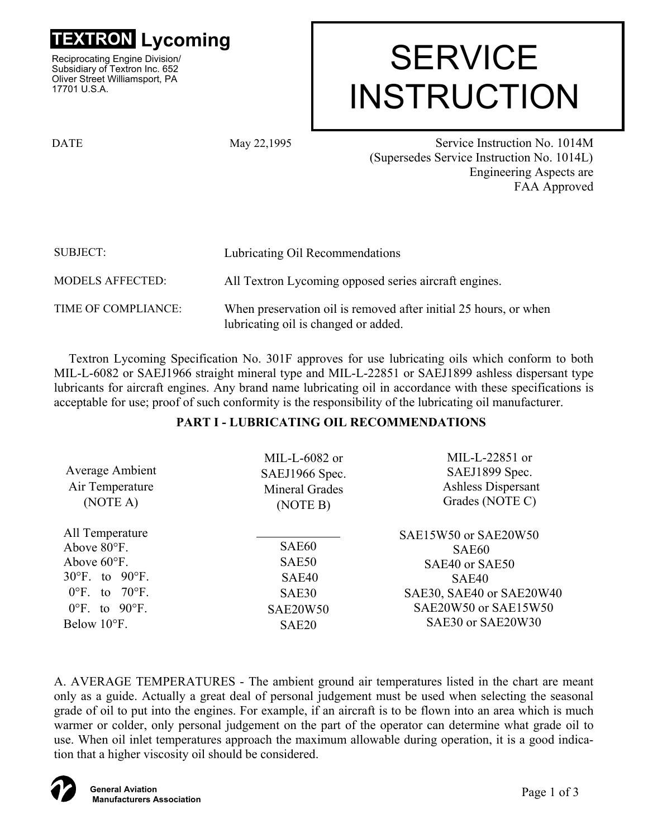

Reciprocating Engine Division/ Subsidiary of Textron Inc. 652 Oliver Street Williamsport, PA 17701 U.S.A.

# **TRON Lycoming<br>
ciprocating Engine Division/**<br>hsidiary of Textron Inc. 652 INSTRUCTION

DATE May 22,1995

 Service Instruction No. 1014M (Supersedes Service Instruction No. 1014L) Engineering Aspects are FAA Approved

| <b>SUBJECT:</b>         | Lubricating Oil Recommendations                                                                          |  |
|-------------------------|----------------------------------------------------------------------------------------------------------|--|
| <b>MODELS AFFECTED:</b> | All Textron Lycoming opposed series aircraft engines.                                                    |  |
| TIME OF COMPLIANCE:     | When preservation oil is removed after initial 25 hours, or when<br>lubricating oil is changed or added. |  |

Textron Lycoming Specification No. 301F approves for use lubricating oils which conform to both MIL-L-6082 or SAEJ1966 straight mineral type and MIL-L-22851 or SAEJ1899 ashless dispersant type lubricants for aircraft engines. Any brand name lubricating oil in accordance with these specifications is acceptable for use; proof of such conformity is the responsibility of the lubricating oil manufacturer.

# **PART I - LUBRICATING OIL RECOMMENDATIONS**

| Average Ambient<br>Air Temperature<br>(NOTE A)                                                                                                                                                      | MIL-L-6082 or<br>SAEJ1966 Spec.<br><b>Mineral Grades</b><br>(NOTE B)                                         | MIL-L-22851 or<br>SAEJ1899 Spec.<br><b>Ashless Dispersant</b><br>Grades (NOTE C)                                                                          |
|-----------------------------------------------------------------------------------------------------------------------------------------------------------------------------------------------------|--------------------------------------------------------------------------------------------------------------|-----------------------------------------------------------------------------------------------------------------------------------------------------------|
| All Temperature<br>Above 80°F.<br>Above $60^{\circ}$ F.<br>$30^{\circ}$ F. to $90^{\circ}$ F.<br>$0^{\circ}$ F.<br>to $70^{\circ}$ F.<br>$0^{\circ}$ F. to $90^{\circ}$ F.<br>Below $10^{\circ}$ F. | SAE <sub>60</sub><br>SAE50<br>SAE <sub>40</sub><br>SAE <sub>30</sub><br><b>SAE20W50</b><br>SAE <sub>20</sub> | SAE15W50 or SAE20W50<br>SAE <sub>60</sub><br>SAE40 or SAE50<br>SAE <sub>40</sub><br>SAE30, SAE40 or SAE20W40<br>SAE20W50 or SAE15W50<br>SAE30 or SAE20W30 |

A. AVERAGE TEMPERATURES - The ambient ground air temperatures listed in the chart are meant only as a guide. Actually a great deal of personal judgement must be used when selecting the seasonal grade of oil to put into the engines. For example, if an aircraft is to be flown into an area which is much warmer or colder, only personal judgement on the part of the operator can determine what grade oil to use. When oil inlet temperatures approach the maximum allowable during operation, it is a good indication that a higher viscosity oil should be considered.

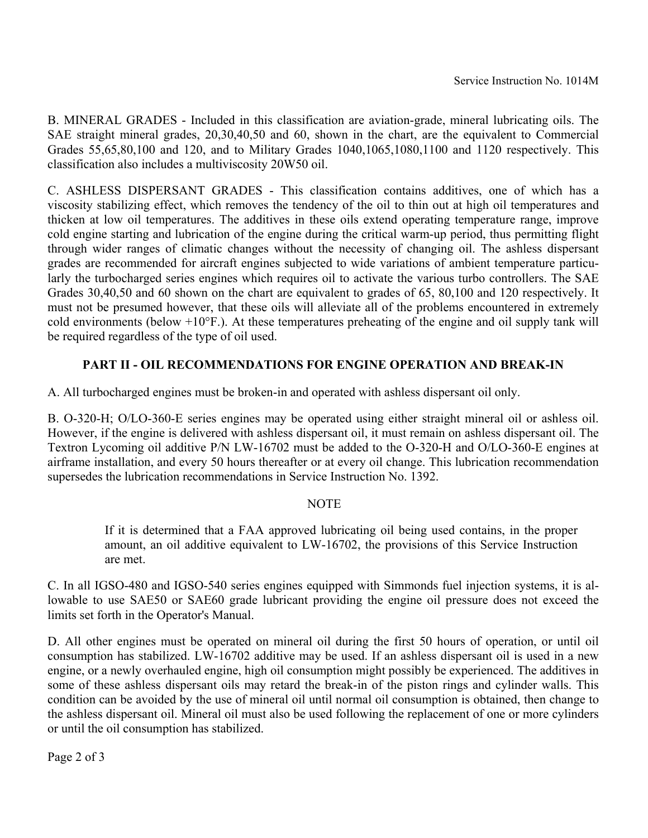B. MINERAL GRADES - Included in this classification are aviation-grade, mineral lubricating oils. The SAE straight mineral grades, 20,30,40,50 and 60, shown in the chart, are the equivalent to Commercial Grades 55,65,80,100 and 120, and to Military Grades 1040,1065,1080,1100 and 1120 respectively. This classification also includes a multiviscosity 20W50 oil.

C. ASHLESS DISPERSANT GRADES - This classification contains additives, one of which has a viscosity stabilizing effect, which removes the tendency of the oil to thin out at high oil temperatures and thicken at low oil temperatures. The additives in these oils extend operating temperature range, improve cold engine starting and lubrication of the engine during the critical warm-up period, thus permitting flight through wider ranges of climatic changes without the necessity of changing oil. The ashless dispersant grades are recommended for aircraft engines subjected to wide variations of ambient temperature particularly the turbocharged series engines which requires oil to activate the various turbo controllers. The SAE Grades 30,40,50 and 60 shown on the chart are equivalent to grades of 65, 80,100 and 120 respectively. It must not be presumed however, that these oils will alleviate all of the problems encountered in extremely cold environments (below  $+10^{\circ}$ F.). At these temperatures preheating of the engine and oil supply tank will be required regardless of the type of oil used.

# **PART II - OIL RECOMMENDATIONS FOR ENGINE OPERATION AND BREAK-IN**

A. All turbocharged engines must be broken-in and operated with ashless dispersant oil only.

B. O-320-H; O/LO-360-E series engines may be operated using either straight mineral oil or ashless oil. However, if the engine is delivered with ashless dispersant oil, it must remain on ashless dispersant oil. The Textron Lycoming oil additive P/N LW-16702 must be added to the O-320-H and O/LO-360-E engines at airframe installation, and every 50 hours thereafter or at every oil change. This lubrication recommendation supersedes the lubrication recommendations in Service Instruction No. 1392.

## **NOTE**

If it is determined that a FAA approved lubricating oil being used contains, in the proper amount, an oil additive equivalent to LW-16702, the provisions of this Service Instruction are met.

C. In all IGSO-480 and IGSO-540 series engines equipped with Simmonds fuel injection systems, it is allowable to use SAE50 or SAE60 grade lubricant providing the engine oil pressure does not exceed the limits set forth in the Operator's Manual.

D. All other engines must be operated on mineral oil during the first 50 hours of operation, or until oil consumption has stabilized. LW-16702 additive may be used. If an ashless dispersant oil is used in a new engine, or a newly overhauled engine, high oil consumption might possibly be experienced. The additives in some of these ashless dispersant oils may retard the break-in of the piston rings and cylinder walls. This condition can be avoided by the use of mineral oil until normal oil consumption is obtained, then change to the ashless dispersant oil. Mineral oil must also be used following the replacement of one or more cylinders or until the oil consumption has stabilized.

Page 2 of 3